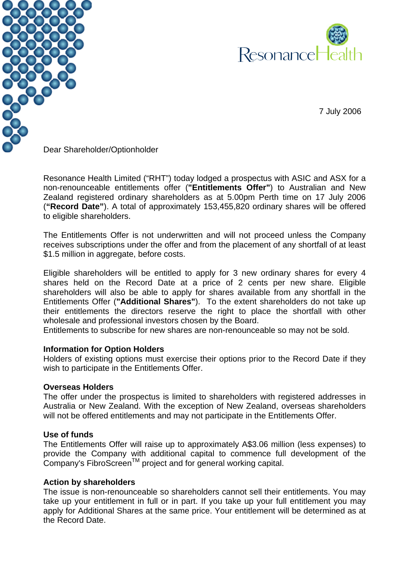



7 July 2006

Dear Shareholder/Optionholder

Resonance Health Limited ("RHT") today lodged a prospectus with ASIC and ASX for a non-renounceable entitlements offer (**"Entitlements Offer"**) to Australian and New Zealand registered ordinary shareholders as at 5.00pm Perth time on 17 July 2006 (**"Record Date"**). A total of approximately 153,455,820 ordinary shares will be offered to eligible shareholders.

The Entitlements Offer is not underwritten and will not proceed unless the Company receives subscriptions under the offer and from the placement of any shortfall of at least \$1.5 million in aggregate, before costs.

Eligible shareholders will be entitled to apply for 3 new ordinary shares for every 4 shares held on the Record Date at a price of 2 cents per new share. Eligible shareholders will also be able to apply for shares available from any shortfall in the Entitlements Offer (**"Additional Shares"**). To the extent shareholders do not take up their entitlements the directors reserve the right to place the shortfall with other wholesale and professional investors chosen by the Board.

Entitlements to subscribe for new shares are non-renounceable so may not be sold.

## **Information for Option Holders**

Holders of existing options must exercise their options prior to the Record Date if they wish to participate in the Entitlements Offer.

## **Overseas Holders**

The offer under the prospectus is limited to shareholders with registered addresses in Australia or New Zealand. With the exception of New Zealand, overseas shareholders will not be offered entitlements and may not participate in the Entitlements Offer.

## **Use of funds**

The Entitlements Offer will raise up to approximately A\$3.06 million (less expenses) to provide the Company with additional capital to commence full development of the Company's FibroScreen<sup>™</sup> project and for general working capital.

## **Action by shareholders**

The issue is non-renounceable so shareholders cannot sell their entitlements. You may take up your entitlement in full or in part. If you take up your full entitlement you may apply for Additional Shares at the same price. Your entitlement will be determined as at the Record Date.